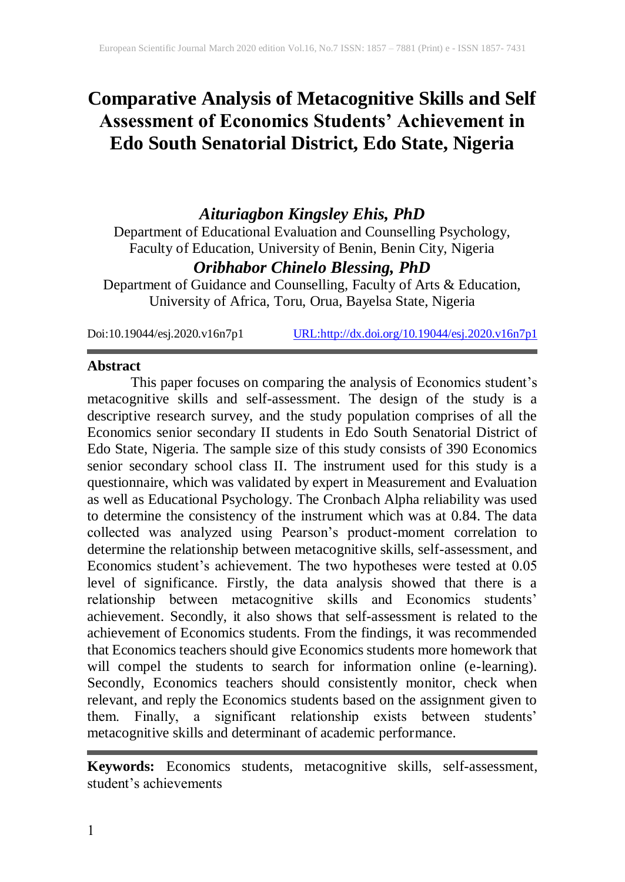# **Comparative Analysis of Metacognitive Skills and Self Assessment of Economics Students' Achievement in Edo South Senatorial District, Edo State, Nigeria**

## *Aituriagbon Kingsley Ehis, PhD*

Department of Educational Evaluation and Counselling Psychology, Faculty of Education, University of Benin, Benin City, Nigeria

### *Oribhabor Chinelo Blessing, PhD*

Department of Guidance and Counselling, Faculty of Arts & Education, University of Africa, Toru, Orua, Bayelsa State, Nigeria

Doi:10.19044/esj.2020.v16n7p1 [URL:http://dx.doi.org/10.19044/esj.2020.v16n7p1](http://dx.doi.org/10.19044/esj.2020.v16n7p1)

#### **Abstract**

This paper focuses on comparing the analysis of Economics student's metacognitive skills and self-assessment. The design of the study is a descriptive research survey, and the study population comprises of all the Economics senior secondary II students in Edo South Senatorial District of Edo State, Nigeria. The sample size of this study consists of 390 Economics senior secondary school class II. The instrument used for this study is a questionnaire, which was validated by expert in Measurement and Evaluation as well as Educational Psychology. The Cronbach Alpha reliability was used to determine the consistency of the instrument which was at 0.84. The data collected was analyzed using Pearson's product-moment correlation to determine the relationship between metacognitive skills, self-assessment, and Economics student's achievement. The two hypotheses were tested at 0.05 level of significance. Firstly, the data analysis showed that there is a relationship between metacognitive skills and Economics students' achievement. Secondly, it also shows that self-assessment is related to the achievement of Economics students. From the findings, it was recommended that Economics teachers should give Economics students more homework that will compel the students to search for information online (e-learning). Secondly, Economics teachers should consistently monitor, check when relevant, and reply the Economics students based on the assignment given to them. Finally, a significant relationship exists between students' metacognitive skills and determinant of academic performance.

**Keywords:** Economics students, metacognitive skills, self-assessment, student's achievements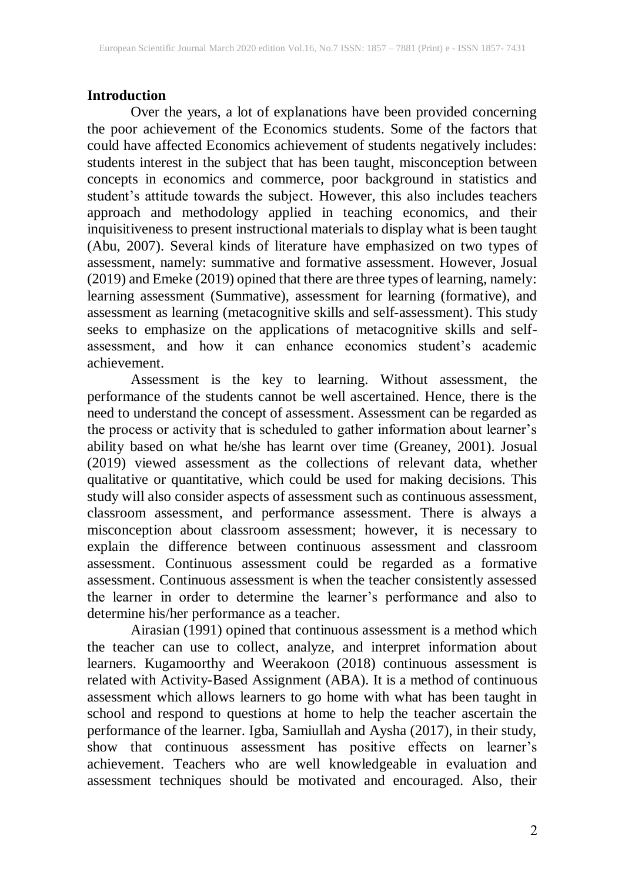#### **Introduction**

Over the years, a lot of explanations have been provided concerning the poor achievement of the Economics students. Some of the factors that could have affected Economics achievement of students negatively includes: students interest in the subject that has been taught, misconception between concepts in economics and commerce, poor background in statistics and student's attitude towards the subject. However, this also includes teachers approach and methodology applied in teaching economics, and their inquisitiveness to present instructional materials to display what is been taught (Abu, 2007). Several kinds of literature have emphasized on two types of assessment, namely: summative and formative assessment. However, Josual (2019) and Emeke (2019) opined that there are three types of learning, namely: learning assessment (Summative), assessment for learning (formative), and assessment as learning (metacognitive skills and self-assessment). This study seeks to emphasize on the applications of metacognitive skills and selfassessment, and how it can enhance economics student's academic achievement.

Assessment is the key to learning. Without assessment, the performance of the students cannot be well ascertained. Hence, there is the need to understand the concept of assessment. Assessment can be regarded as the process or activity that is scheduled to gather information about learner's ability based on what he/she has learnt over time (Greaney, 2001). Josual (2019) viewed assessment as the collections of relevant data, whether qualitative or quantitative, which could be used for making decisions. This study will also consider aspects of assessment such as continuous assessment, classroom assessment, and performance assessment. There is always a misconception about classroom assessment; however, it is necessary to explain the difference between continuous assessment and classroom assessment. Continuous assessment could be regarded as a formative assessment. Continuous assessment is when the teacher consistently assessed the learner in order to determine the learner's performance and also to determine his/her performance as a teacher.

Airasian (1991) opined that continuous assessment is a method which the teacher can use to collect, analyze, and interpret information about learners. Kugamoorthy and Weerakoon (2018) continuous assessment is related with Activity-Based Assignment (ABA). It is a method of continuous assessment which allows learners to go home with what has been taught in school and respond to questions at home to help the teacher ascertain the performance of the learner. Igba, Samiullah and Aysha (2017), in their study, show that continuous assessment has positive effects on learner's achievement. Teachers who are well knowledgeable in evaluation and assessment techniques should be motivated and encouraged. Also, their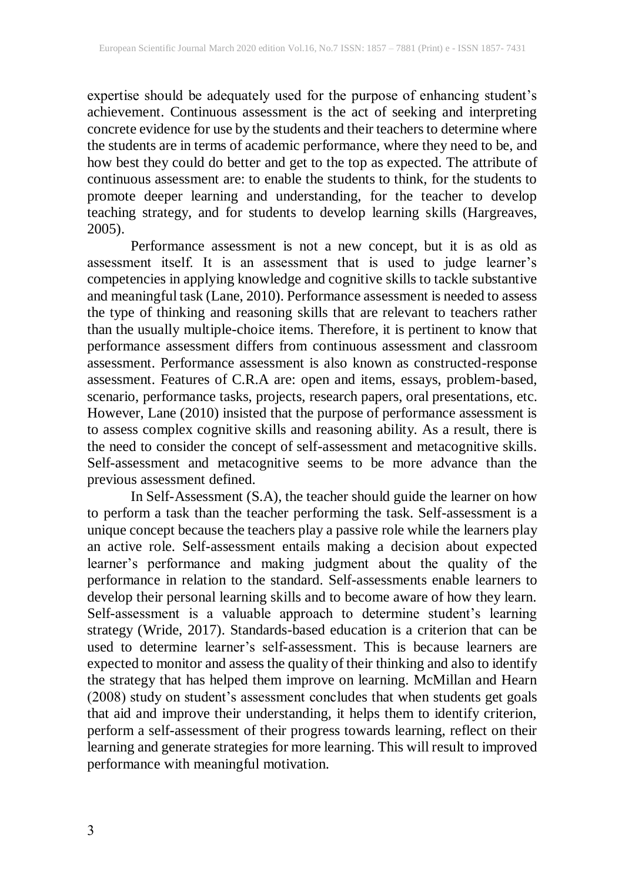expertise should be adequately used for the purpose of enhancing student's achievement. Continuous assessment is the act of seeking and interpreting concrete evidence for use by the students and their teachers to determine where the students are in terms of academic performance, where they need to be, and how best they could do better and get to the top as expected. The attribute of continuous assessment are: to enable the students to think, for the students to promote deeper learning and understanding, for the teacher to develop teaching strategy, and for students to develop learning skills (Hargreaves, 2005).

Performance assessment is not a new concept, but it is as old as assessment itself. It is an assessment that is used to judge learner's competencies in applying knowledge and cognitive skills to tackle substantive and meaningful task (Lane, 2010). Performance assessment is needed to assess the type of thinking and reasoning skills that are relevant to teachers rather than the usually multiple-choice items. Therefore, it is pertinent to know that performance assessment differs from continuous assessment and classroom assessment. Performance assessment is also known as constructed-response assessment. Features of C.R.A are: open and items, essays, problem-based, scenario, performance tasks, projects, research papers, oral presentations, etc. However, Lane (2010) insisted that the purpose of performance assessment is to assess complex cognitive skills and reasoning ability. As a result, there is the need to consider the concept of self-assessment and metacognitive skills. Self-assessment and metacognitive seems to be more advance than the previous assessment defined.

In Self-Assessment (S.A), the teacher should guide the learner on how to perform a task than the teacher performing the task. Self-assessment is a unique concept because the teachers play a passive role while the learners play an active role. Self-assessment entails making a decision about expected learner's performance and making judgment about the quality of the performance in relation to the standard. Self-assessments enable learners to develop their personal learning skills and to become aware of how they learn. Self-assessment is a valuable approach to determine student's learning strategy (Wride, 2017). Standards-based education is a criterion that can be used to determine learner's self-assessment. This is because learners are expected to monitor and assess the quality of their thinking and also to identify the strategy that has helped them improve on learning. McMillan and Hearn (2008) study on student's assessment concludes that when students get goals that aid and improve their understanding, it helps them to identify criterion, perform a self-assessment of their progress towards learning, reflect on their learning and generate strategies for more learning. This will result to improved performance with meaningful motivation.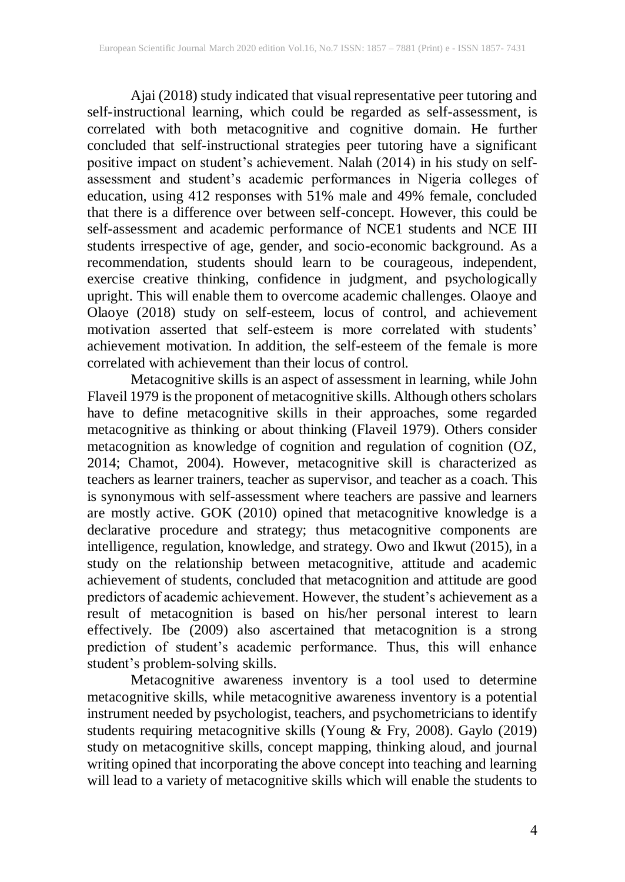Ajai (2018) study indicated that visual representative peer tutoring and self-instructional learning, which could be regarded as self-assessment, is correlated with both metacognitive and cognitive domain. He further concluded that self-instructional strategies peer tutoring have a significant positive impact on student's achievement. Nalah (2014) in his study on selfassessment and student's academic performances in Nigeria colleges of education, using 412 responses with 51% male and 49% female, concluded that there is a difference over between self-concept. However, this could be self-assessment and academic performance of NCE1 students and NCE III students irrespective of age, gender, and socio-economic background. As a recommendation, students should learn to be courageous, independent, exercise creative thinking, confidence in judgment, and psychologically upright. This will enable them to overcome academic challenges. Olaoye and Olaoye (2018) study on self-esteem, locus of control, and achievement motivation asserted that self-esteem is more correlated with students' achievement motivation. In addition, the self-esteem of the female is more correlated with achievement than their locus of control.

Metacognitive skills is an aspect of assessment in learning, while John Flaveil 1979 is the proponent of metacognitive skills. Although others scholars have to define metacognitive skills in their approaches, some regarded metacognitive as thinking or about thinking (Flaveil 1979). Others consider metacognition as knowledge of cognition and regulation of cognition (OZ, 2014; Chamot, 2004). However, metacognitive skill is characterized as teachers as learner trainers, teacher as supervisor, and teacher as a coach. This is synonymous with self-assessment where teachers are passive and learners are mostly active. GOK (2010) opined that metacognitive knowledge is a declarative procedure and strategy; thus metacognitive components are intelligence, regulation, knowledge, and strategy. Owo and Ikwut (2015), in a study on the relationship between metacognitive, attitude and academic achievement of students, concluded that metacognition and attitude are good predictors of academic achievement. However, the student's achievement as a result of metacognition is based on his/her personal interest to learn effectively. Ibe (2009) also ascertained that metacognition is a strong prediction of student's academic performance. Thus, this will enhance student's problem-solving skills.

Metacognitive awareness inventory is a tool used to determine metacognitive skills, while metacognitive awareness inventory is a potential instrument needed by psychologist, teachers, and psychometricians to identify students requiring metacognitive skills (Young & Fry, 2008). Gaylo (2019) study on metacognitive skills, concept mapping, thinking aloud, and journal writing opined that incorporating the above concept into teaching and learning will lead to a variety of metacognitive skills which will enable the students to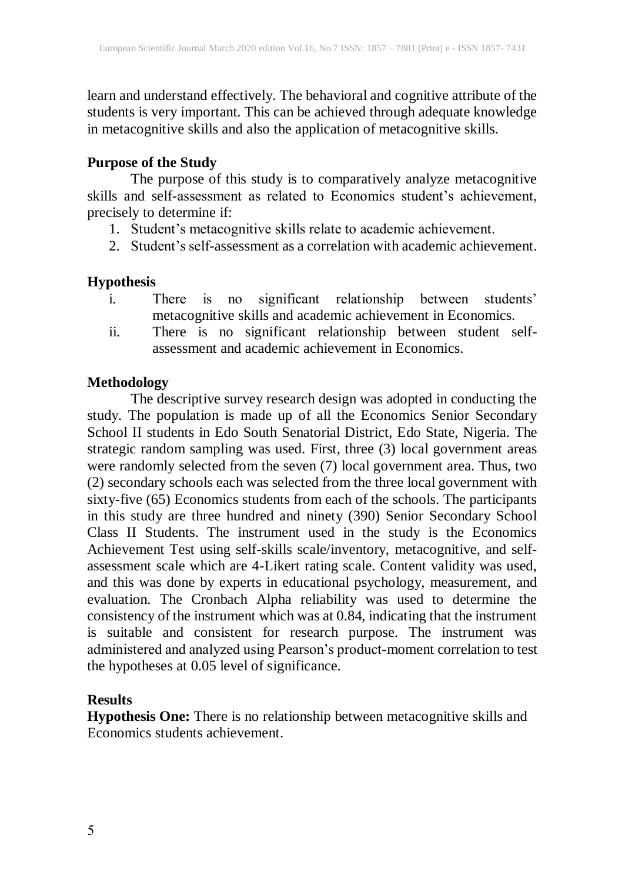learn and understand effectively. The behavioral and cognitive attribute of the students is very important. This can be achieved through adequate knowledge in metacognitive skills and also the application of metacognitive skills.

#### **Purpose of the Study**

The purpose of this study is to comparatively analyze metacognitive skills and self-assessment as related to Economics student's achievement, precisely to determine if:

- 1. Student's metacognitive skills relate to academic achievement.
- 2. Student's self-assessment as a correlation with academic achievement.

#### **Hypothesis**

- i. There is no significant relationship between students' metacognitive skills and academic achievement in Economics.
- ii. There is no significant relationship between student selfassessment and academic achievement in Economics.

#### **Methodology**

The descriptive survey research design was adopted in conducting the study. The population is made up of all the Economics Senior Secondary School II students in Edo South Senatorial District, Edo State, Nigeria. The strategic random sampling was used. First, three (3) local government areas were randomly selected from the seven (7) local government area. Thus, two (2) secondary schools each was selected from the three local government with sixty-five (65) Economics students from each of the schools. The participants in this study are three hundred and ninety (390) Senior Secondary School Class II Students. The instrument used in the study is the Economics Achievement Test using self-skills scale/inventory, metacognitive, and selfassessment scale which are 4-Likert rating scale. Content validity was used, and this was done by experts in educational psychology, measurement, and evaluation. The Cronbach Alpha reliability was used to determine the consistency of the instrument which was at 0.84, indicating that the instrument is suitable and consistent for research purpose. The instrument was administered and analyzed using Pearson's product-moment correlation to test the hypotheses at 0.05 level of significance.

### **Results**

**Hypothesis One:** There is no relationship between metacognitive skills and Economics students achievement.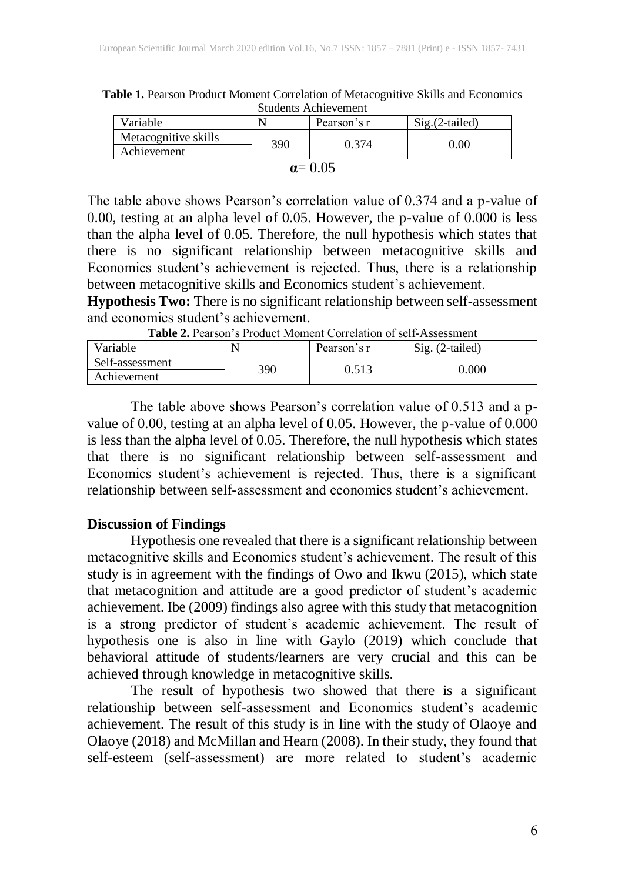| Students Achievement |     |             |                  |  |  |
|----------------------|-----|-------------|------------------|--|--|
| Variable             |     | Pearson's r | $Sig.(2-tailed)$ |  |  |
| Metacognitive skills | 390 | 0.374       | 0.00             |  |  |
| Achievement          |     |             |                  |  |  |

| Table 1. Pearson Product Moment Correlation of Metacognitive Skills and Economics |
|-----------------------------------------------------------------------------------|
| <b>Students Achievement</b>                                                       |

| u |
|---|

The table above shows Pearson's correlation value of 0.374 and a p-value of 0.00, testing at an alpha level of 0.05. However, the p-value of 0.000 is less than the alpha level of 0.05. Therefore, the null hypothesis which states that there is no significant relationship between metacognitive skills and Economics student's achievement is rejected. Thus, there is a relationship between metacognitive skills and Economics student's achievement.

**Hypothesis Two:** There is no significant relationship between self-assessment and economics student's achievement.

| <b>Table 2.</b> I carson 3 I Found Information Contenation of Scit-Assessment |     |             |                           |  |  |
|-------------------------------------------------------------------------------|-----|-------------|---------------------------|--|--|
| Variable                                                                      |     | Pearson's r | $\text{Si}$ g. (2-tailed) |  |  |
| Self-assessment                                                               | 390 | 0.513       | 0.000                     |  |  |
| Achievement                                                                   |     |             |                           |  |  |

**Table 2.** Pearson's Product Moment Correlation of self-Assessment

The table above shows Pearson's correlation value of 0.513 and a pvalue of 0.00, testing at an alpha level of 0.05. However, the p-value of 0.000 is less than the alpha level of 0.05. Therefore, the null hypothesis which states that there is no significant relationship between self-assessment and Economics student's achievement is rejected. Thus, there is a significant relationship between self-assessment and economics student's achievement.

#### **Discussion of Findings**

Hypothesis one revealed that there is a significant relationship between metacognitive skills and Economics student's achievement. The result of this study is in agreement with the findings of Owo and Ikwu (2015), which state that metacognition and attitude are a good predictor of student's academic achievement. Ibe (2009) findings also agree with this study that metacognition is a strong predictor of student's academic achievement. The result of hypothesis one is also in line with Gaylo (2019) which conclude that behavioral attitude of students/learners are very crucial and this can be achieved through knowledge in metacognitive skills.

The result of hypothesis two showed that there is a significant relationship between self-assessment and Economics student's academic achievement. The result of this study is in line with the study of Olaoye and Olaoye (2018) and McMillan and Hearn (2008). In their study, they found that self-esteem (self-assessment) are more related to student's academic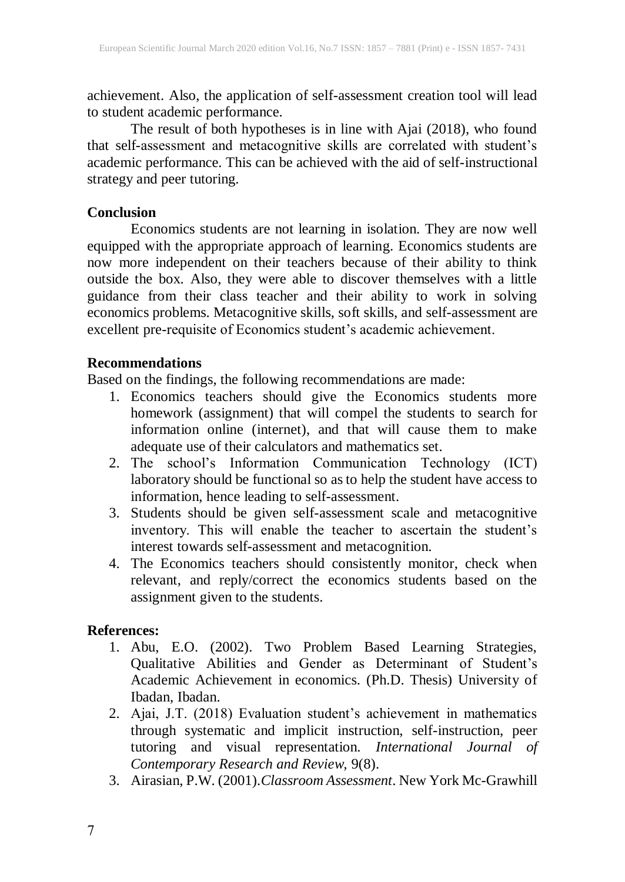achievement. Also, the application of self-assessment creation tool will lead to student academic performance.

The result of both hypotheses is in line with Ajai (2018), who found that self-assessment and metacognitive skills are correlated with student's academic performance. This can be achieved with the aid of self-instructional strategy and peer tutoring.

#### **Conclusion**

Economics students are not learning in isolation. They are now well equipped with the appropriate approach of learning. Economics students are now more independent on their teachers because of their ability to think outside the box. Also, they were able to discover themselves with a little guidance from their class teacher and their ability to work in solving economics problems. Metacognitive skills, soft skills, and self-assessment are excellent pre-requisite of Economics student's academic achievement.

#### **Recommendations**

Based on the findings, the following recommendations are made:

- 1. Economics teachers should give the Economics students more homework (assignment) that will compel the students to search for information online (internet), and that will cause them to make adequate use of their calculators and mathematics set.
- 2. The school's Information Communication Technology (ICT) laboratory should be functional so asto help the student have access to information, hence leading to self-assessment.
- 3. Students should be given self-assessment scale and metacognitive inventory. This will enable the teacher to ascertain the student's interest towards self-assessment and metacognition.
- 4. The Economics teachers should consistently monitor, check when relevant, and reply/correct the economics students based on the assignment given to the students.

#### **References:**

- 1. Abu, E.O. (2002). Two Problem Based Learning Strategies, Qualitative Abilities and Gender as Determinant of Student's Academic Achievement in economics. (Ph.D. Thesis) University of Ibadan, Ibadan.
- 2. Ajai, J.T. (2018) Evaluation student's achievement in mathematics through systematic and implicit instruction, self-instruction, peer tutoring and visual representation. *International Journal of Contemporary Research and Review,* 9(8).
- 3. Airasian, P.W. (2001).*Classroom Assessment*. New York Mc-Grawhill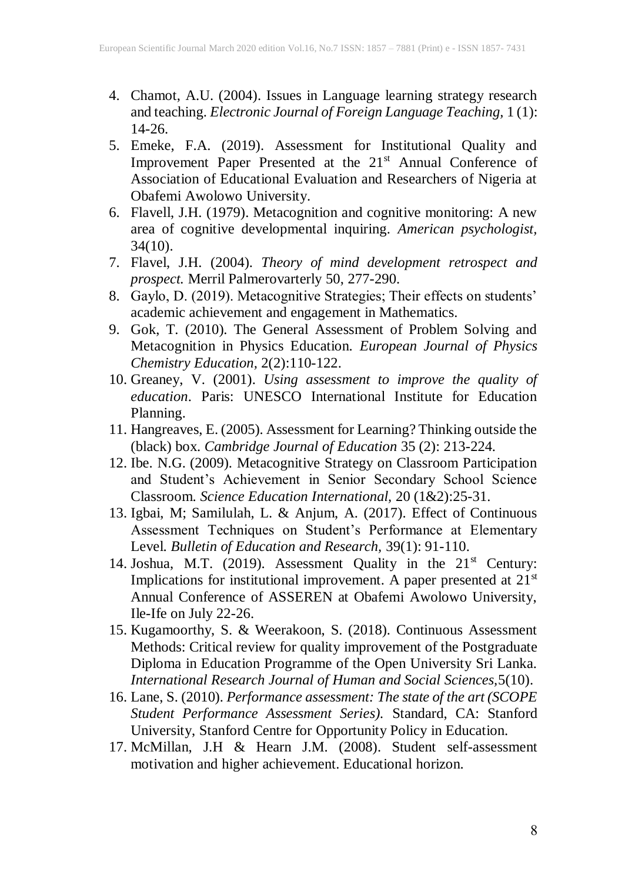- 4. Chamot, A.U. (2004). Issues in Language learning strategy research and teaching. *Electronic Journal of Foreign Language Teaching,* 1 (1): 14-26.
- 5. Emeke, F.A. (2019). Assessment for Institutional Quality and Improvement Paper Presented at the 21<sup>st</sup> Annual Conference of Association of Educational Evaluation and Researchers of Nigeria at Obafemi Awolowo University.
- 6. Flavell, J.H. (1979). Metacognition and cognitive monitoring: A new area of cognitive developmental inquiring. *American psychologist,*  $34(10)$ .
- 7. Flavel, J.H. (2004). *Theory of mind development retrospect and prospect.* Merril Palmerovarterly 50, 277-290.
- 8. Gaylo, D. (2019). Metacognitive Strategies; Their effects on students' academic achievement and engagement in Mathematics.
- 9. Gok, T. (2010). The General Assessment of Problem Solving and Metacognition in Physics Education. *European Journal of Physics Chemistry Education,* 2(2):110-122.
- 10. Greaney, V. (2001). *Using assessment to improve the quality of education*. Paris: UNESCO International Institute for Education Planning.
- 11. Hangreaves, E. (2005). Assessment for Learning? Thinking outside the (black) box. *Cambridge Journal of Education* 35 (2): 213-224.
- 12. Ibe. N.G. (2009). Metacognitive Strategy on Classroom Participation and Student's Achievement in Senior Secondary School Science Classroom. *Science Education International,* 20 (1&2):25-31.
- 13. Igbai, M; Samilulah, L. & Anjum, A. (2017). Effect of Continuous Assessment Techniques on Student's Performance at Elementary Level. *Bulletin of Education and Research,* 39(1): 91-110.
- 14. Joshua, M.T. (2019). Assessment Quality in the 21<sup>st</sup> Century: Implications for institutional improvement. A paper presented at  $21<sup>st</sup>$ Annual Conference of ASSEREN at Obafemi Awolowo University, Ile-Ife on July 22-26.
- 15. Kugamoorthy, S. & Weerakoon, S. (2018). Continuous Assessment Methods: Critical review for quality improvement of the Postgraduate Diploma in Education Programme of the Open University Sri Lanka. *International Research Journal of Human and Social Sciences,*5(10).
- 16. Lane, S. (2010). *Performance assessment: The state of the art (SCOPE Student Performance Assessment Series).* Standard, CA: Stanford University, Stanford Centre for Opportunity Policy in Education.
- 17. McMillan, J.H & Hearn J.M. (2008). Student self-assessment motivation and higher achievement. Educational horizon.